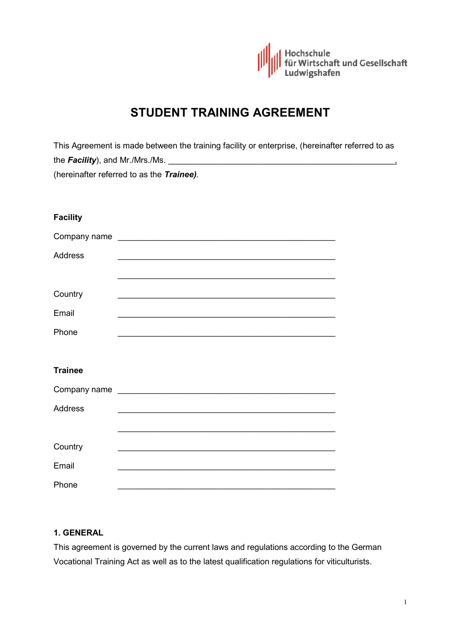

# **STUDENT TRAINING AGREEMENT**

|                 | This Agreement is made between the training facility or enterprise, (hereinafter referred to as |  |
|-----------------|-------------------------------------------------------------------------------------------------|--|
|                 |                                                                                                 |  |
|                 | (hereinafter referred to as the Trainee).                                                       |  |
|                 |                                                                                                 |  |
|                 |                                                                                                 |  |
| <b>Facility</b> |                                                                                                 |  |
|                 | Company name                                                                                    |  |
| <b>Address</b>  |                                                                                                 |  |
|                 |                                                                                                 |  |
| Country         | <u> 1989 - Johann Stoff, amerikansk politiker (d. 1989)</u>                                     |  |
| Email           | <u> 1989 - Johann Stoff, amerikansk politiker (d. 1989)</u>                                     |  |
| Phone           |                                                                                                 |  |
|                 |                                                                                                 |  |
|                 |                                                                                                 |  |
| <b>Trainee</b>  |                                                                                                 |  |
|                 |                                                                                                 |  |
| <b>Address</b>  |                                                                                                 |  |
|                 | <u> 1989 - Johann Stoff, amerikansk politiker (d. 1989)</u>                                     |  |
| Country         |                                                                                                 |  |
| Email           |                                                                                                 |  |
| Phone           |                                                                                                 |  |

#### **1. GENERAL**

This agreement is governed by the current laws and regulations according to the German Vocational Training Act as well as to the latest qualification regulations for viticulturists.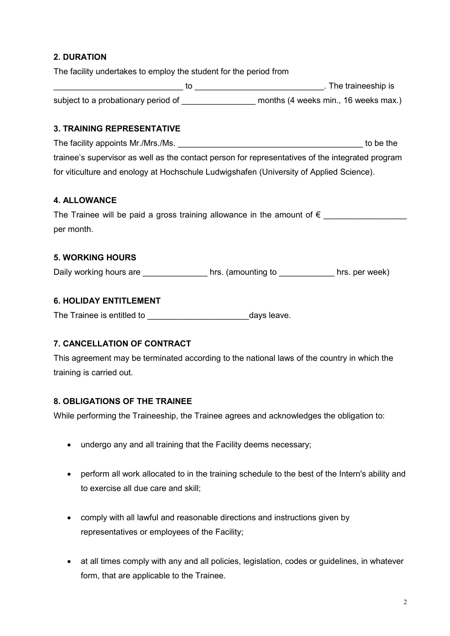# **2. DURATION**

The facility undertakes to employ the student for the period from

|                                     | . The traineeship is                 |
|-------------------------------------|--------------------------------------|
| subject to a probationary period of | months (4 weeks min., 16 weeks max.) |

#### **3. TRAINING REPRESENTATIVE**

The facility appoints Mr./Mrs./Ms. trainee's supervisor as well as the contact person for representatives of the integrated program for viticulture and enology at Hochschule Ludwigshafen (University of Applied Science).

#### **4. ALLOWANCE**

| The Trainee will be paid a gross training allowance in the amount of $\epsilon$ |  |  |  |  |  |
|---------------------------------------------------------------------------------|--|--|--|--|--|
| per month.                                                                      |  |  |  |  |  |

#### **5. WORKING HOURS**

Daily working hours are \_\_\_\_\_\_\_\_\_\_\_\_\_\_\_\_\_\_hrs. (amounting to \_\_\_\_\_\_\_\_\_\_\_\_\_\_hrs. per week)

#### **6. HOLIDAY ENTITLEMENT**

The Trainee is entitled to \_\_\_\_\_\_\_\_\_\_\_\_\_\_\_\_\_\_\_\_\_\_\_\_\_\_\_\_\_\_\_\_\_\_days leave.

#### **7. CANCELLATION OF CONTRACT**

This agreement may be terminated according to the national laws of the country in which the training is carried out.

#### **8. OBLIGATIONS OF THE TRAINEE**

While performing the Traineeship, the Trainee agrees and acknowledges the obligation to:

- undergo any and all training that the Facility deems necessary;
- perform all work allocated to in the training schedule to the best of the Intern's ability and to exercise all due care and skill;
- comply with all lawful and reasonable directions and instructions given by representatives or employees of the Facility;
- at all times comply with any and all policies, legislation, codes or guidelines, in whatever form, that are applicable to the Trainee.